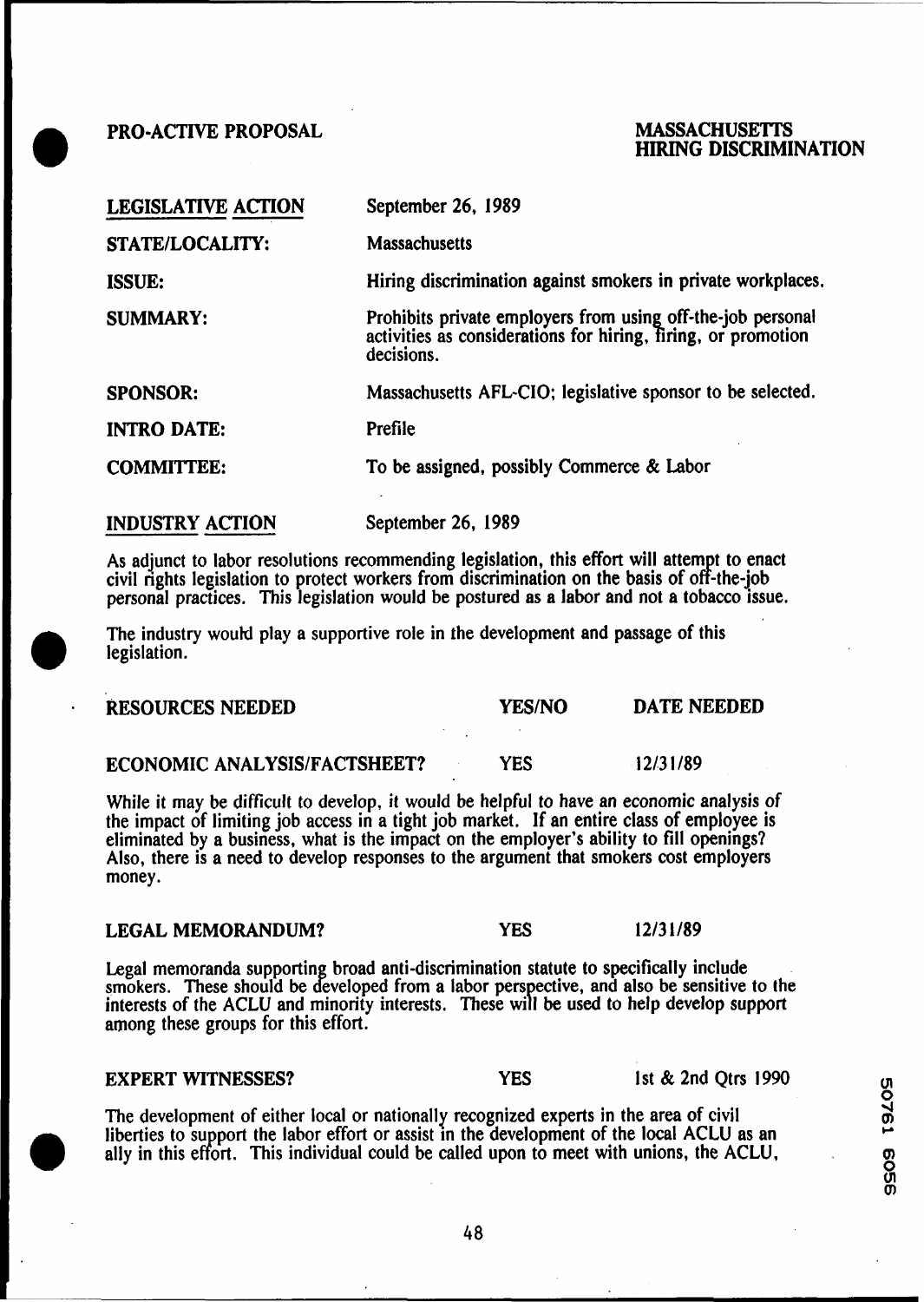**PRO-ACTNE PROPOSAL** 

# **MASSACHUSETTS HIRING DISCRIMINATION**

| <b>LEGISLATIVE ACTION</b> | September 26, 1989                                                                                                                      |
|---------------------------|-----------------------------------------------------------------------------------------------------------------------------------------|
| <b>STATE/LOCALITY:</b>    | <b>Massachusetts</b>                                                                                                                    |
| <b>ISSUE:</b>             | Hiring discrimination against smokers in private workplaces.                                                                            |
| <b>SUMMARY:</b>           | Prohibits private employers from using off-the-job personal activities as considerations for hiring, firing, or promotion<br>decisions. |
| <b>SPONSOR:</b>           | Massachusetts AFL-CIO; legislative sponsor to be selected.                                                                              |
| <b>INTRO DATE:</b>        | Prefile                                                                                                                                 |
| <b>COMMITTEE:</b>         | To be assigned, possibly Commerce & Labor                                                                                               |
| <b>INDUSTRY ACTION</b>    | September 26, 1989                                                                                                                      |

As adjunct to labor resolutions recommending legislation, this effort will attempt to enact civil rights legislation to protect workers from discrimination on the basis of off-the-job personal practices. This legislation would be postured as a labor and not a tobacco issue.

The industry would play a supportive role in the development and passage of this legislation.

| <b>RESOURCES NEEDED</b>             |  | <b>YES/NO</b> | DATE NEEDED |
|-------------------------------------|--|---------------|-------------|
|                                     |  |               |             |
| <b>ECONOMIC ANALYSIS/FACTSHEET?</b> |  | YES           | 12/31/89    |

While it may be difficult to develop, it would be helpful to have an economic analysis of the impact of limiting job access in a tight job market. If an entire class of employee is eliminated by a business, what is the impact on the employer's ability to fill openings? Also, there is a need to develop responses to the argument that smokers cost employers money.

# **LEGAL MEMORANDUM?** *YES* **12/31/89**

Legal memoranda supporting broad anti-discrimination statute to specifically include smokers. These should be developed from a labor perspective, and also be sensitive to the among these groups for this effort. interests of the ACLU and minority interests. These will be used to help develop support

# **EXPERT WITNESSES? PES PES 1st & 2nd Qtrs 1990**

The development of either local or nationally recognized experts in the area of civil liberties to support the labor effort or assist in the development of the local ACLU as an ally in this effort. This individual could be called upon to meet with unions, the ACLU,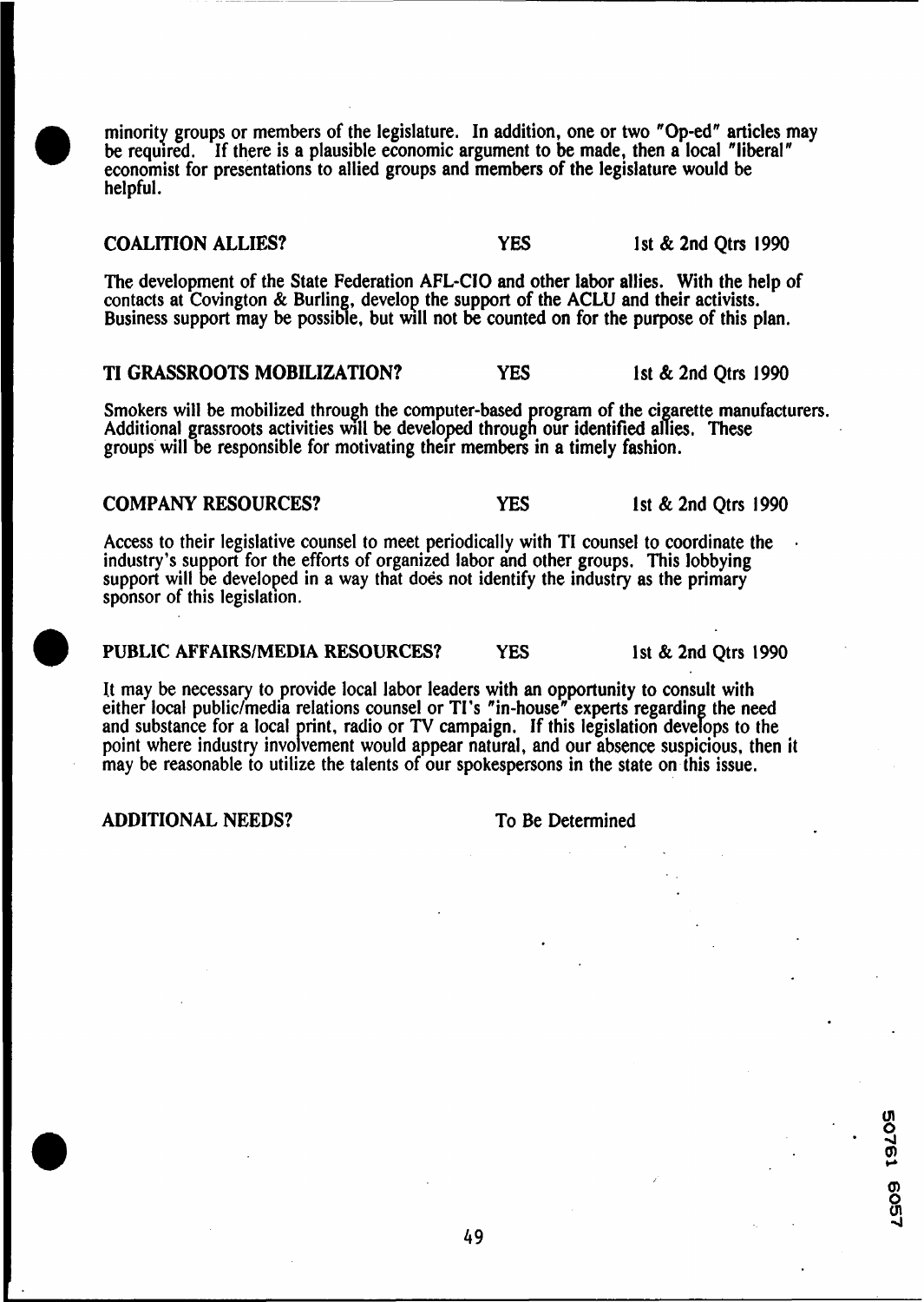minority groups or members of the legislature. In addition, one or two "Op-ed" articles may be required. If there is a plausible economic argument to be made, then a local "liberal" economist for presentations to allied groups and members of the legislature would be helpful.

# **COALITION ALLIES? YES** 1st & 2nd Qtrs 1990

The development of the State Federation AFL-ClO and other labor allies. With the help of contacts at Covington  $\&$  Burling, develop the support of the ACLU and their activists. Business support may be possible, but will not be counted on for the purpose of this plan.

**TI GRASSROOTS MOBILIZATION? YES** 1st & 2nd Qtrs 1990

Smokers will be mobilized through the computer-based program of the cigarette manufacturers. Additional grassroots activities will be developed through our identified allies. These groups will be responsible for motivating their members in a timely fashion.

# **COMPANY RESOURCES? YES** 1st & 2nd Qtrs 1990

Access to their legislative counsel to meet periodically with TI counsel to coordinate the<br>industry's support for the efforts of organized labor and other groups. This lobbying<br>support will be developed in a way that does sponsor of this legislation.

# **PUBLIC AFFAIRS/MEDIA RESOURCES? YES** 1st & 2nd Qtrs 1990

It may be necessary to provide local labor leaders with an opportunity to consult with either local public/media relations counsel or TI's "in-house" experts regarding the need<br>and substance for a local print, radio or TV campaign. If this legislation develops to the<br>point where industry involvement would ap point where industry involvement would appear natural, and our absence suspicious, then it may be reasonable to utilize the talents of our spokespersons in the state on this issue.

**ADDITIONAL NEEDS?** To Be Determined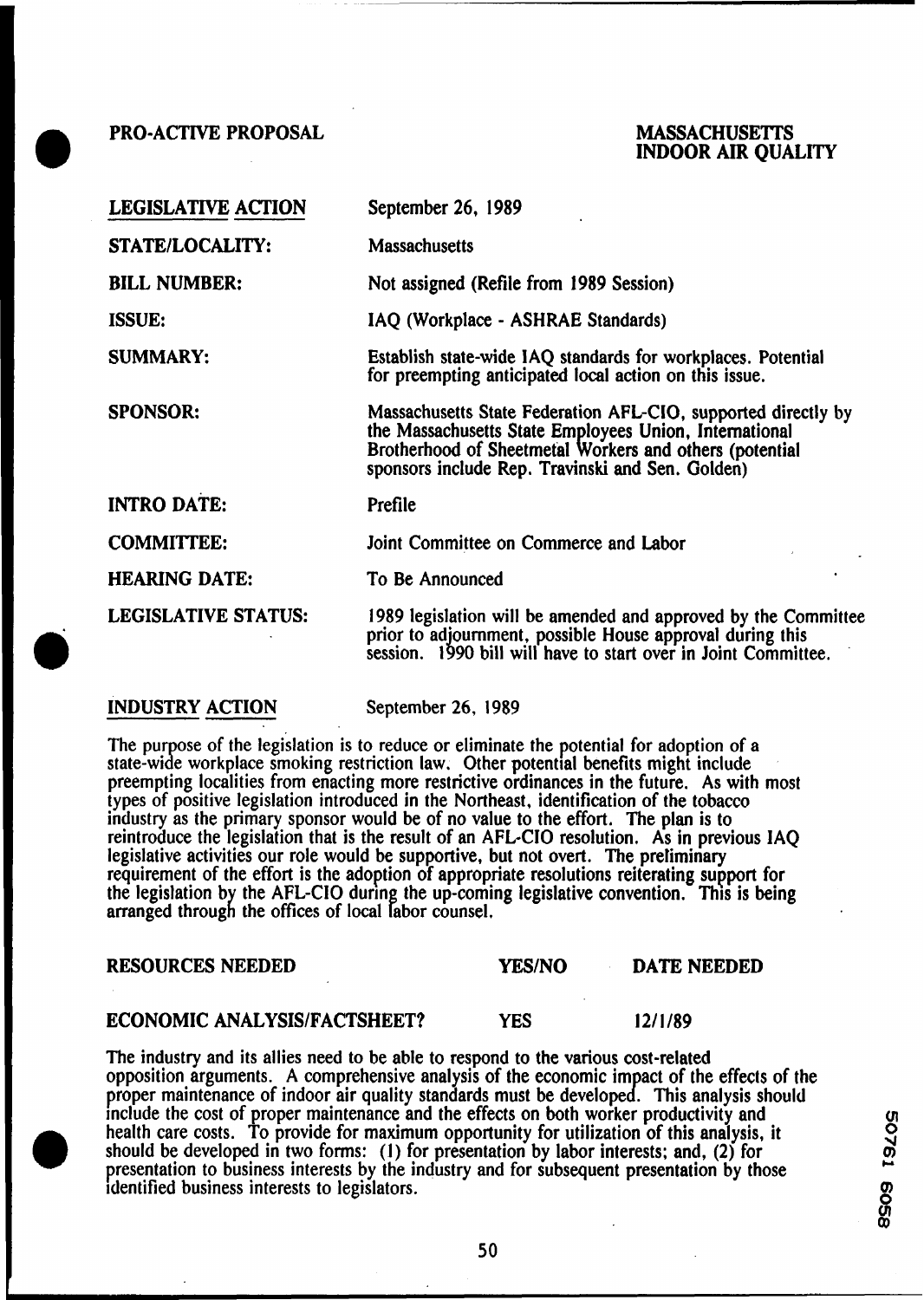**PRO-ACTIVE PROPOSAL** 

# **MASSACHUSETTS INDOOR AIR QUALITY**

| <b>LEGISLATIVE ACTION</b>  | September 26, 1989                                                                                                                                                                                                                     |
|----------------------------|----------------------------------------------------------------------------------------------------------------------------------------------------------------------------------------------------------------------------------------|
| STATE/LOCALITY:            | <b>Massachusetts</b>                                                                                                                                                                                                                   |
| <b>BILL NUMBER:</b>        | Not assigned (Refile from 1989 Session)                                                                                                                                                                                                |
| <b>ISSUE:</b>              | IAQ (Workplace - ASHRAE Standards)                                                                                                                                                                                                     |
| <b>SUMMARY:</b>            | Establish state-wide IAQ standards for workplaces. Potential<br>for preempting anticipated local action on this issue.                                                                                                                 |
| <b>SPONSOR:</b>            | Massachusetts State Federation AFL-CIO, supported directly by<br>the Massachusetts State Employees Union, International<br>Brotherhood of Sheetmetal Workers and others (potential<br>sponsors include Rep. Travinski and Sen. Golden) |
| <b>INTRO DATE:</b>         | Prefile                                                                                                                                                                                                                                |
| <b>COMMITTEE:</b>          | Joint Committee on Commerce and Labor                                                                                                                                                                                                  |
| <b>HEARING DATE:</b>       | To Be Announced                                                                                                                                                                                                                        |
| <b>LEGISLATIVE STATUS:</b> | 1989 legislation will be amended and approved by the Committee<br>prior to adjournment, possible House approval during this<br>session. 1990 bill will have to start over in Joint Committee.                                          |

# **INDUSTRY ACTION**

September 26, **1989** 

The purpose of the legislation is to reduce or eliminate the potential for adoption of a state-wide workplace smoking restriction law. Other potential benefits might include preempting localities from enacting more restrictive ordinances in the future. As with most types of positive legislation introduced in the Northeast, identification of the tobacco industry as the primary sponsor would be of no value to the effort. The plan is to reintroduce the legislation that is the result of an AFL-CIO resolution. As in previous IAQ legislative activities our role would be supportive, but not overt. The preliminary requirement of the effort is the adoption of appropriate resolutions reiterating support for the legislation by the AFL-CIO during the up-coming legislative convention. This is being arranged through the offices of local labor counsel.

### **RESOURCES NEEDED YES/NO DATE NEEDED**

# **ECONOMIC ANALYSIS/FACTSHEET?** YES 12/1/89

The industry and its allies need to be able to respond to the various cost-related opposition arguments. **A** comprehensive analysis of the economic im act of the effects of the The industry and its allies need to be able to respond to the various cost-related<br>opposition arguments. A comprehensive analysis of the economic impact of the effects of the<br>proper maintenance of indoor air quality standa include the cost of proper maintenance and the effects on both worker productivity and health care costs. To provide for maximum opportunity for utilization of this analysis, it should be developed in two forms: (1) for presentation by labor interests; and, (2) for presentation to business interests by the industry and for subsequent presentation by those **c.**  identified business interests to legislators.

**0**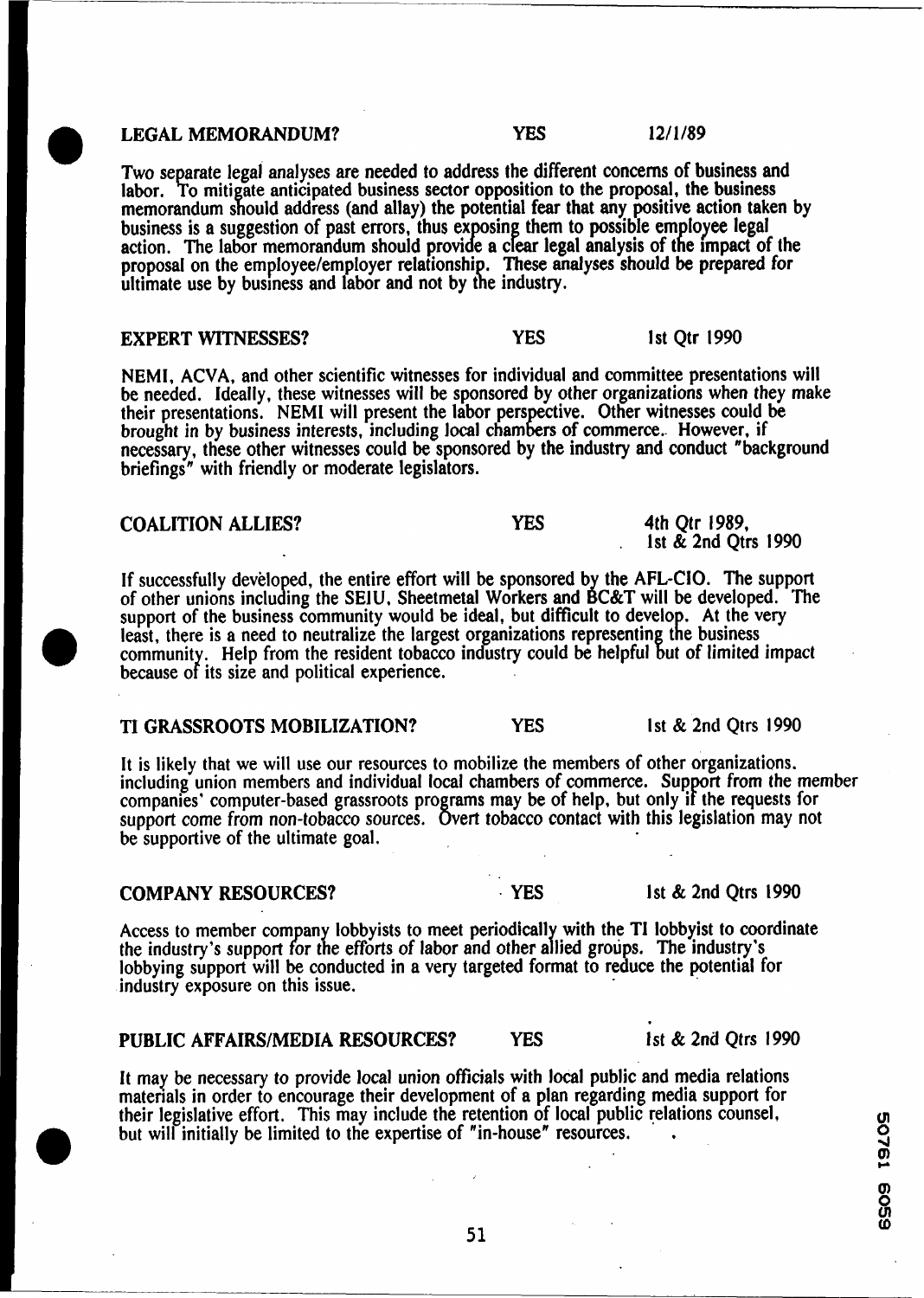#### LEGAL MEMORANDUM? **YES** 12/1/89

Two separate legal analyses are needed to address the different concerns of business and labor. To mitigate anticipated business sector opposition to the proposal, the business memorandum should address (and allay) the potential fear that any positive action taken by business is a suggestion of past errors, thus exposing them to possible employee legal action. The labor memorandum should provide a clear legal analysis of the impact of the proposal on the employee/employer relationship. These analyses should be prepared for ultimate use by business and labor and not by the industry.

# **EXPERT WITNESSES? YES** 1st Qtr 1990

NEMI, ACVA, and other scientific witnesses for individual and committee presentations will be needed. Ideally, these witnesses will be sponsored by other organizations when they make their presentations. NEMI will present the labor pers ective. Other witnesses could be brought in by business interests, including local chambers of commerce. However, if necessary, these other witnesses could be sponsored by the industry and conduct "background briefings" with friendly or moderate legislators.

| <b>COALITION ALLIES?</b> | YES | 4th Qtr 1989,       |
|--------------------------|-----|---------------------|
|                          |     | 1st & 2nd Qtrs 1990 |

If successfully developed, the entire effort will be sponsored by the AFL-CIO. The support of other unions including the SEIU, Sheetmetal Workers and BC&T will be developed. The support of the business community would be i support of the business community would be ideal, but difficult to develop. At the very community. Help from the resident tobacco industry could be helpful but of limited impact because of its size and political experience.

# TI GRASSROOTS MOBILIZATION? **YES** I st & 2nd Qtrs 1990

It is likely that we will use our resources to mobilize the members of other organizations.<br>including union members and individual local chambers of commerce. Support from the member companies' computer-based grassroots programs may be of help, but only if the requests for support come from non-tobacco sources. Overt tobacco contact with this legislation may not be supportive of the ultimate goal.

# **COMPANY RESOURCES? YES** Ist & 2nd Qtrs 1990

Access to member company lobbyists to meet periodically with the TI lobbyist to coordinate the industry's support for the efforts of labor and other allied groups. The industry's tobbying support will be conducted in a very targeted format to reduce the potential for industry exposure on this issue.

# PUBLIC AFFAIRSIMEDIA RESOURCES? **YES** 1st & 2nd Qtrs 1990

It may be necessary to provide local union officials with local public and media relations materials in order to encourage their development of a plan regarding media support for their legislative effort. This may include the retention of local public relations counsel, but will initially be limited to the expertise of "in-house" resources.

**Q) w**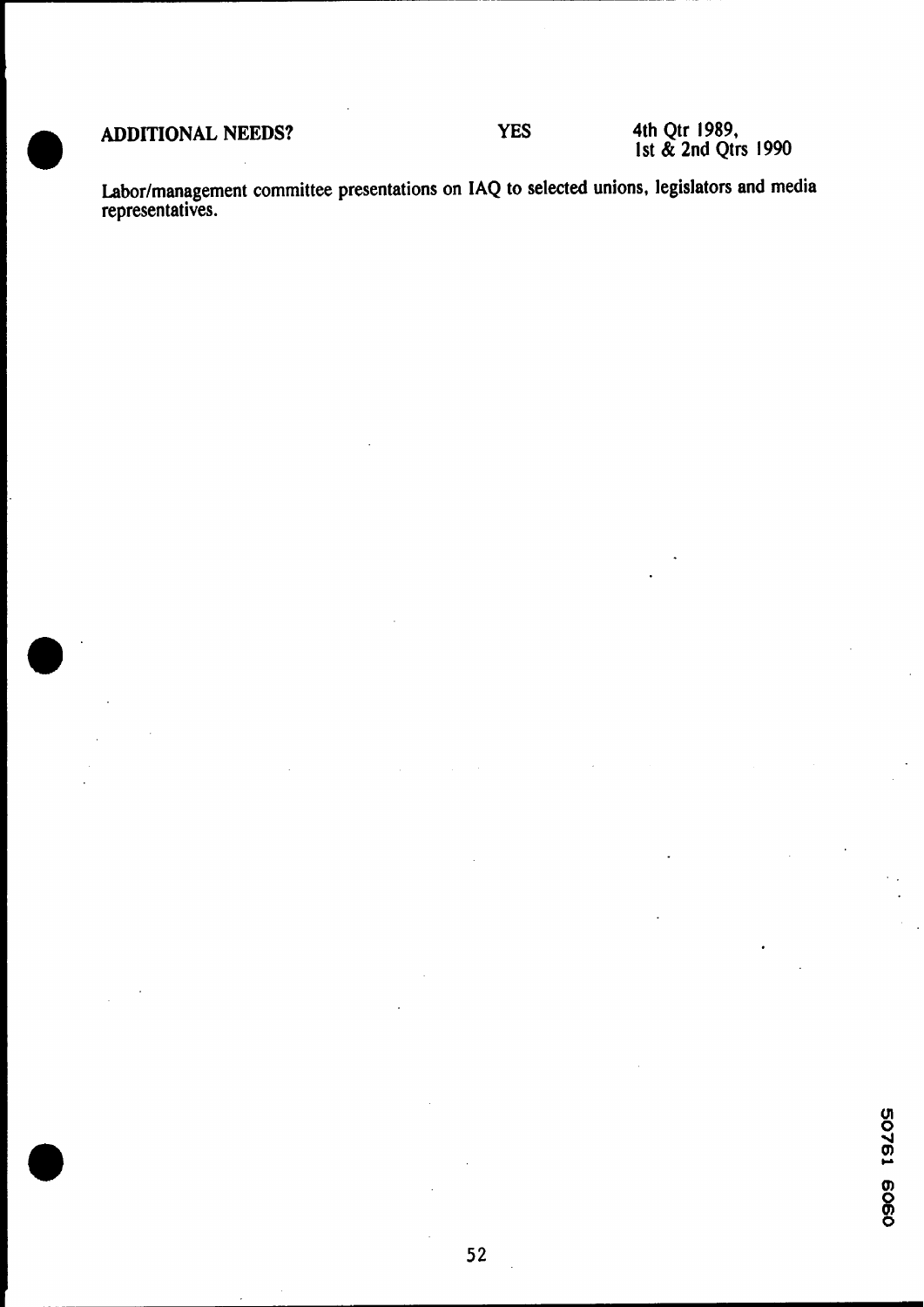**e'** 

**YES** 

**ADDITIONAL NEEDS? 4th Qtr 1989, 1st** & **2nd Qtrs 1990** 

**Laborlmanagement committee presentations on IAQ to selected unions, legislators and media representatives.**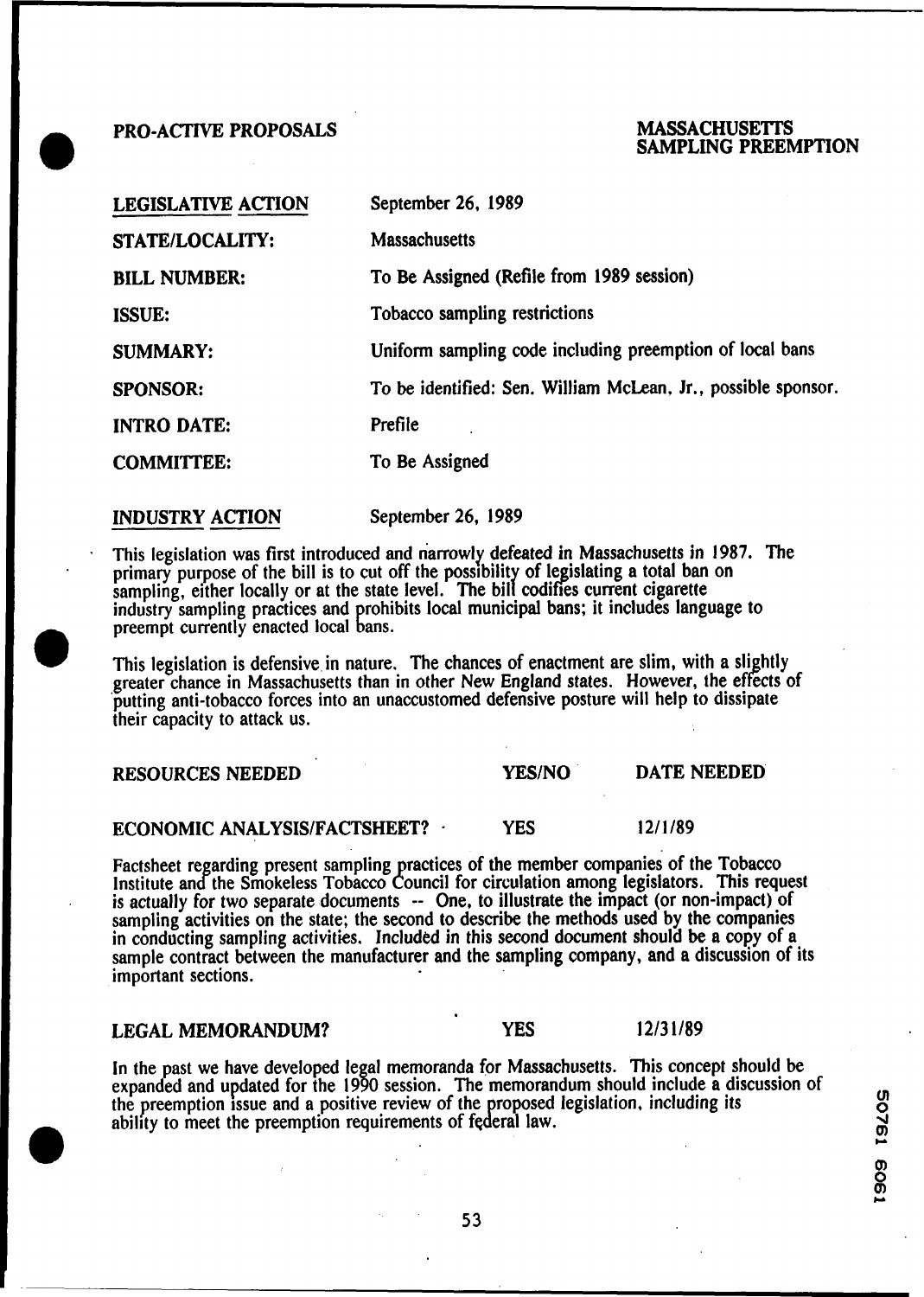# **1 PRO-ACTIVE PROPOSALS MASSACHUSETTS**<br> **1 PRO-ACTIVE PROPOSALS SAMPLING PREEMPTION**

| <b>LEGISLATIVE ACTION</b> | September 26, 1989                                            |
|---------------------------|---------------------------------------------------------------|
| <b>STATE/LOCALITY:</b>    | <b>Massachusetts</b>                                          |
| <b>BILL NUMBER:</b>       | To Be Assigned (Refile from 1989 session)                     |
| <b>ISSUE:</b>             | Tobacco sampling restrictions                                 |
| <b>SUMMARY:</b>           | Uniform sampling code including preemption of local bans      |
| <b>SPONSOR:</b>           | To be identified: Sen. William McLean, Jr., possible sponsor. |
| <b>INTRO DATE:</b>        | Prefile                                                       |
| <b>COMMITTEE:</b>         | To Be Assigned                                                |

**INDUSTRY ACTION** September **26, 1989** 

- This legislation was first introduced and riarrowly defeated in Massachusetts in **1987.** The primary purpose of the bill is to cut off the possibility of legislating a total ban on<br>sampling, either locally or at the state level. The bill codifies current cigarette<br>industry sampling practices and prohibits local mu preempt currently enacted local bans.

This legislation is defensive in nature. The chances of enactment are slim, with a slightly greater chance in Massachusetts than in other New England states. However, the effects of 'putting anti-tobacco forces into an unaccustomed defensive posture will help to dissipate their capacity to attack us.

#### **RESOURCES NEEDED YES/NO DATE NEEDED**

# **ECONOMIC ANALYSIS/FACTSHEET? TES** 12/1/89

Factsheet regarding present sampling practices of the member companies of the Tobacco<br>Institute and the Smokeless Tobacco Council for circulation among legislators. This request<br>is actually for two separate documents -- On sampling activities on the state; the second to describe the methods used by the companies in conducting sampling activities. Included in this second document should be a copy of a sample contract between the manufacturer and the sampling company, and a discussion of its important sections.

# **LEGAL MEMORANDUM? PES 12/31/89**

In the past we have developed legal memoranda for Massachusetts. This concept should be expanded and updated for the 1990 session. The memorandum should include a discussion of the preemption issue and a positive review of the proposed legislation, including its ability to meet the preemption requirements of federal law.

**0**   $\mathbf{r}$ 

53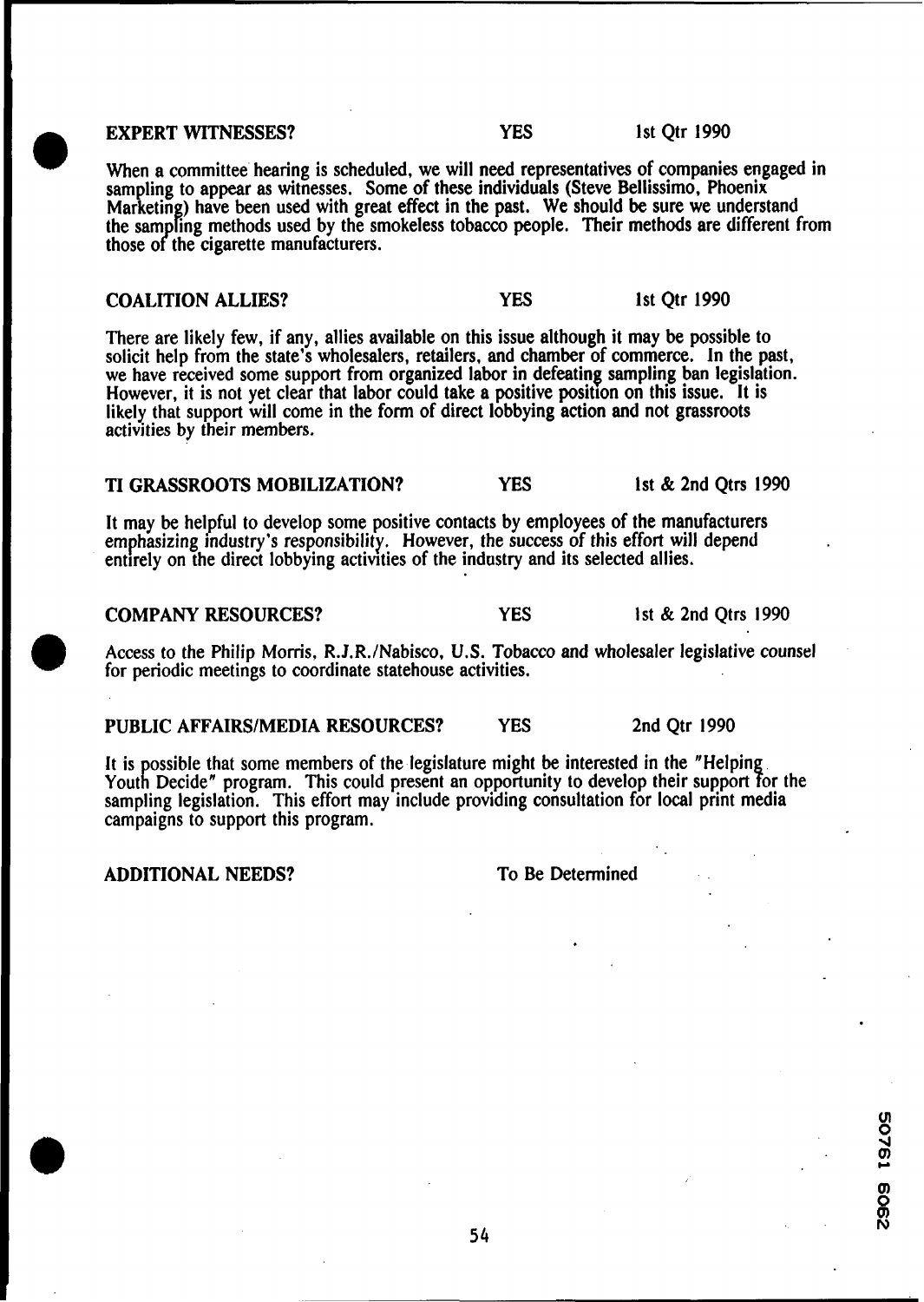**EXPERT WITNESSES? PES PES 1st Qtr 1990** 

When a committee hearing is scheduled, we will need representatives of companies engaged in sampling to appear as witnesses. Some of these individuals (Steve Bellissimo, Phoenix Marketing) have been used with great effect in the past. We should be sure we understand the sampling methods used by the smokeless tobacco people. Their methods are different from those of the cigarette manufacturers.

#### **COALITION ALLIES? YES** 1st Qtr 1990

There are likely few, if any, allies available on this issue although it may be possible to solicit help from the state's wholesalers, retailers, and chamber of commerce. In the past, we have received some support from organized labor in defeating sampling ban legislation. However, it is not yet clear that labor could take a positive position on this issue. It is likely that support will come in the form of direct lobbying action and not grassroots activities by their members.

# **TI GRASSROOTS MOBILIZATION? YES** 1st & 2nd Qtrs 1990

It may be helpful to develop some positive contacts by employees of the manufacturers emphasizing industry's responsibility. However, the success of this effort will depend entirely on the direct lobbying activities of the industry and its selected allies.

#### **COMPANY RESOURCES?** YES **1** st & 2nd Qtrs 1990

@ Access to the Philip Morris, R.J.R./Nabisco, **U.S.** Tobacco and wholesaler legislative counsel for periodic meetings to coordinate statehouse activities.

# **PUBLIC AFFAIRSIMEDIA RESOURCES?** YES 2nd Qtr 1990

It is possible that some members of the legislature might be interested in the "Helping".<br>Youth Decide" program. This could present an opportunity to develop their support for the sampling legislation. This effort may include providing consultation for local print media campaigns to support this program.

# **ADDITIONAL NEEDS?** To Be Determined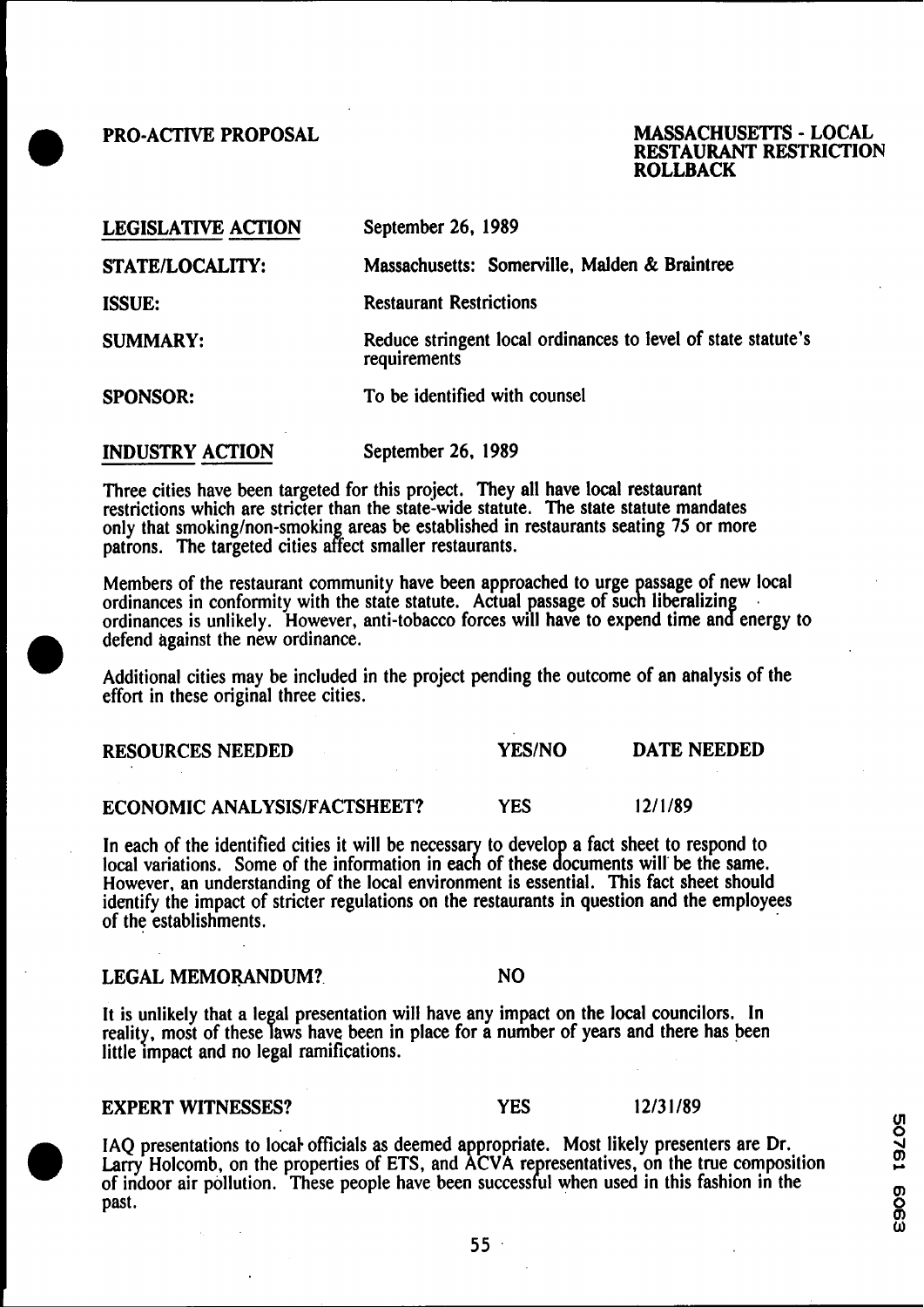# **PRO-ACTIVE PROPOSAL MASSACHUSETTS** - **LOCAL RESTAURANT RESTRICTION ROLLBACK**

| <b>LEGISLATIVE ACTION</b> | September 26, 1989                                                            |  |
|---------------------------|-------------------------------------------------------------------------------|--|
| <b>STATE/LOCALITY:</b>    | Massachusetts: Somerville, Malden & Braintree                                 |  |
| <b>ISSUE:</b>             | <b>Restaurant Restrictions</b>                                                |  |
| <b>SUMMARY:</b>           | Reduce stringent local ordinances to level of state statute's<br>requirements |  |
| <b>SPONSOR:</b>           | To be identified with counsel                                                 |  |
| <b>INDUSTRY ACTION</b>    | September 26, 1989                                                            |  |

Three cities have been targeted for this project. They all have local restaurant restrictions which are stricter than the state-wide statute. The state statute mandates only that smoking/non-smoking areas be established in restaurants seating 75 or more patrons. The targeted cities affect smaller restaurants.

Members of the restaurant community have been approached to urge passage of new local ordinances in conformity with the state statute. Actual passage of such liberalizing ordinances is unlikely. However, anti-tobacco forces will have to expend time and energy to defend against the new ordinance.

Additional cities may be included in the project pending the outcome of an analysis of the effort in these original three cities.

**RESOURCES NEEDED YES/NO DATE NEEDED** 

**ECONOMIC ANALYSISIFACTSHEET?** YES 121 1189

In each of the identified cities it will be necessary to develop a fact sheet to respond to local variations. Some of the information in each of these documents will be the same. However, an understanding of the local environment is essential. This fact sheet should identify the impact of stricter regulations on the restaurants in question and the employees of the establishments.

# LEGAL MEMORANDUM? NO

It is unlikely that a legal presentation will have any impact on the local councilors. In reality, most of these laws have been in place for a number of years and there has been little impact and no legal ramifications.

## **EXPERT WITNESSES?** YES 1213 **1** 189

IAQ presentations to local officials as deemed appropriate. Most likely presenters are Dr. Larry Holcomb, on the properties of ETS, and ACVA representatives, on the true composition of indoor air pollution. These people have been successful when used in this fashion in the past.